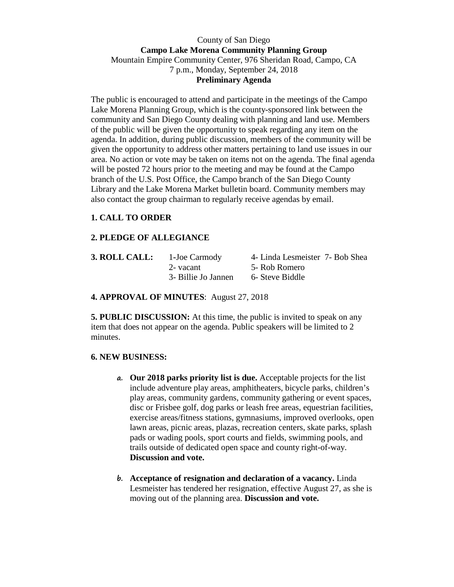## County of San Diego **Campo Lake Morena Community Planning Group**  Mountain Empire Community Center, 976 Sheridan Road, Campo, CA 7 p.m., Monday, September 24, 2018 **Preliminary Agenda**

The public is encouraged to attend and participate in the meetings of the Campo Lake Morena Planning Group, which is the county-sponsored link between the community and San Diego County dealing with planning and land use. Members of the public will be given the opportunity to speak regarding any item on the agenda. In addition, during public discussion, members of the community will be given the opportunity to address other matters pertaining to land use issues in our area. No action or vote may be taken on items not on the agenda. The final agenda will be posted 72 hours prior to the meeting and may be found at the Campo branch of the U.S. Post Office, the Campo branch of the San Diego County Library and the Lake Morena Market bulletin board. Community members may also contact the group chairman to regularly receive agendas by email.

# **1. CALL TO ORDER**

### **2. PLEDGE OF ALLEGIANCE**

| 3. ROLL CALL: | 1-Joe Carmody       | 4- Linda Lesmeister 7- Bob Shea |
|---------------|---------------------|---------------------------------|
|               | 2- vacant           | 5- Rob Romero                   |
|               | 3- Billie Jo Jannen | 6- Steve Biddle                 |

### **4. APPROVAL OF MINUTES**: August 27, 2018

**5. PUBLIC DISCUSSION:** At this time, the public is invited to speak on any item that does not appear on the agenda. Public speakers will be limited to 2 minutes.

#### **6. NEW BUSINESS:**

- **a. Our 2018 parks priority list is due.** Acceptable projects for the list include adventure play areas, amphitheaters, bicycle parks, children's play areas, community gardens, community gathering or event spaces, disc or Frisbee golf, dog parks or leash free areas, equestrian facilities, exercise areas/fitness stations, gymnasiums, improved overlooks, open lawn areas, picnic areas, plazas, recreation centers, skate parks, splash pads or wading pools, sport courts and fields, swimming pools, and trails outside of dedicated open space and county right-of-way. **Discussion and vote.**
- **b. Acceptance of resignation and declaration of a vacancy.** Linda Lesmeister has tendered her resignation, effective August 27, as she is moving out of the planning area. **Discussion and vote.**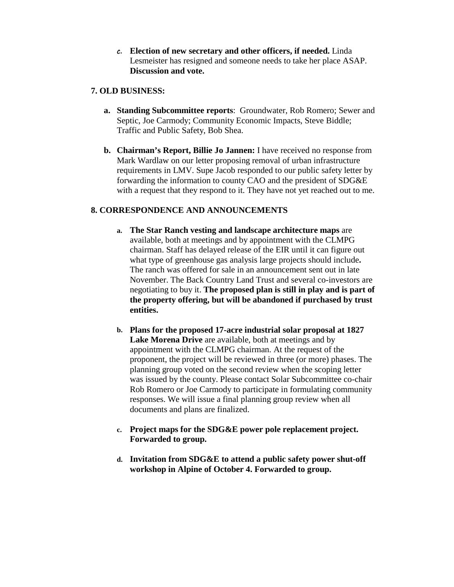**c. Election of new secretary and other officers, if needed.** Linda Lesmeister has resigned and someone needs to take her place ASAP. **Discussion and vote.**

### **7. OLD BUSINESS:**

- **a. Standing Subcommittee reports**: Groundwater, Rob Romero; Sewer and Septic, Joe Carmody; Community Economic Impacts, Steve Biddle; Traffic and Public Safety, Bob Shea.
- **b. Chairman's Report, Billie Jo Jannen:** I have received no response from Mark Wardlaw on our letter proposing removal of urban infrastructure requirements in LMV. Supe Jacob responded to our public safety letter by forwarding the information to county CAO and the president of SDG&E with a request that they respond to it. They have not yet reached out to me.

### **8. CORRESPONDENCE AND ANNOUNCEMENTS**

- **a. The Star Ranch vesting and landscape architecture maps** are available, both at meetings and by appointment with the CLMPG chairman. Staff has delayed release of the EIR until it can figure out what type of greenhouse gas analysis large projects should include**.**  The ranch was offered for sale in an announcement sent out in late November. The Back Country Land Trust and several co-investors are negotiating to buy it. **The proposed plan is still in play and is part of the property offering, but will be abandoned if purchased by trust entities.**
- **b. Plans for the proposed 17-acre industrial solar proposal at 1827 Lake Morena Drive** are available, both at meetings and by appointment with the CLMPG chairman. At the request of the proponent, the project will be reviewed in three (or more) phases. The planning group voted on the second review when the scoping letter was issued by the county. Please contact Solar Subcommittee co-chair Rob Romero or Joe Carmody to participate in formulating community responses. We will issue a final planning group review when all documents and plans are finalized.
- **c. Project maps for the SDG&E power pole replacement project. Forwarded to group.**
- **d. Invitation from SDG&E to attend a public safety power shut-off workshop in Alpine of October 4. Forwarded to group.**